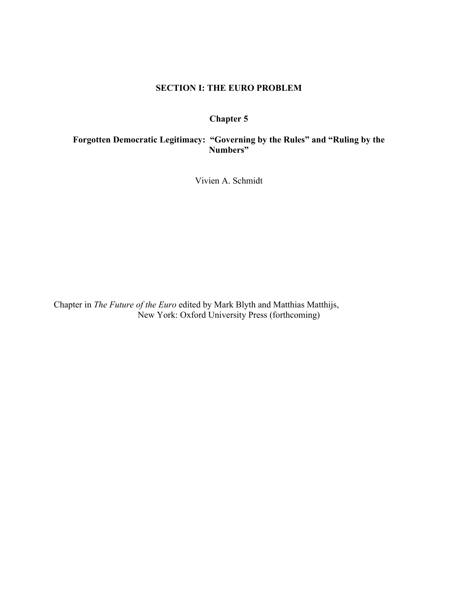## **SECTION I: THE EURO PROBLEM**

# **Chapter 5**

# **Forgotten Democratic Legitimacy: "Governing by the Rules" and "Ruling by the Numbers"**

Vivien A. Schmidt

Chapter in *The Future of the Euro* edited by Mark Blyth and Matthias Matthijs, New York: Oxford University Press (forthcoming)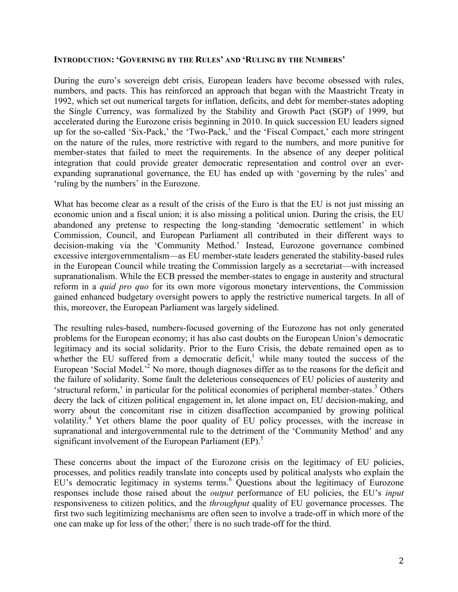#### **INTRODUCTION: 'GOVERNING BY THE RULES' AND 'RULING BY THE NUMBERS'**

During the euro's sovereign debt crisis, European leaders have become obsessed with rules, numbers, and pacts. This has reinforced an approach that began with the Maastricht Treaty in 1992, which set out numerical targets for inflation, deficits, and debt for member-states adopting the Single Currency, was formalized by the Stability and Growth Pact (SGP) of 1999, but accelerated during the Eurozone crisis beginning in 2010. In quick succession EU leaders signed up for the so-called 'Six-Pack,' the 'Two-Pack,' and the 'Fiscal Compact,' each more stringent on the nature of the rules, more restrictive with regard to the numbers, and more punitive for member-states that failed to meet the requirements. In the absence of any deeper political integration that could provide greater democratic representation and control over an everexpanding supranational governance, the EU has ended up with 'governing by the rules' and 'ruling by the numbers' in the Eurozone.

What has become clear as a result of the crisis of the Euro is that the EU is not just missing an economic union and a fiscal union; it is also missing a political union. During the crisis, the EU abandoned any pretense to respecting the long-standing 'democratic settlement' in which Commission, Council, and European Parliament all contributed in their different ways to decision-making via the 'Community Method.' Instead, Eurozone governance combined excessive intergovernmentalism—as EU member-state leaders generated the stability-based rules in the European Council while treating the Commission largely as a secretariat—with increased supranationalism. While the ECB pressed the member-states to engage in austerity and structural reform in a *quid pro quo* for its own more vigorous monetary interventions, the Commission gained enhanced budgetary oversight powers to apply the restrictive numerical targets. In all of this, moreover, the European Parliament was largely sidelined.

The resulting rules-based, numbers-focused governing of the Eurozone has not only generated problems for the European economy; it has also cast doubts on the European Union's democratic legitimacy and its social solidarity. Prior to the Euro Crisis, the debate remained open as to whether the EU suffered from a democratic deficit,<sup>1</sup> while many touted the success of the European 'Social Model.<sup>2</sup> No more, though diagnoses differ as to the reasons for the deficit and the failure of solidarity. Some fault the deleterious consequences of EU policies of austerity and 'structural reform,' in particular for the political economies of peripheral member-states.<sup>3</sup> Others decry the lack of citizen political engagement in, let alone impact on, EU decision-making, and worry about the concomitant rise in citizen disaffection accompanied by growing political volatility.4 Yet others blame the poor quality of EU policy processes, with the increase in supranational and intergovernmental rule to the detriment of the 'Community Method' and any significant involvement of the European Parliament (EP).<sup>5</sup>

These concerns about the impact of the Eurozone crisis on the legitimacy of EU policies, processes, and politics readily translate into concepts used by political analysts who explain the EU's democratic legitimacy in systems terms.<sup>6</sup> Questions about the legitimacy of Eurozone responses include those raised about the *output* performance of EU policies, the EU's *input* responsiveness to citizen politics, and the *throughput* quality of EU governance processes. The first two such legitimizing mechanisms are often seen to involve a trade-off in which more of the one can make up for less of the other;<sup>7</sup> there is no such trade-off for the third.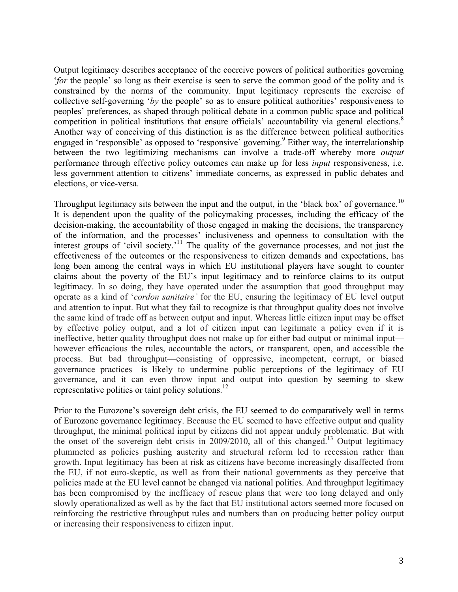Output legitimacy describes acceptance of the coercive powers of political authorities governing '*for* the people' so long as their exercise is seen to serve the common good of the polity and is constrained by the norms of the community. Input legitimacy represents the exercise of collective self-governing '*by* the people' so as to ensure political authorities' responsiveness to peoples' preferences, as shaped through political debate in a common public space and political competition in political institutions that ensure officials' accountability via general elections.<sup>8</sup> Another way of conceiving of this distinction is as the difference between political authorities engaged in 'responsible' as opposed to 'responsive' governing.<sup>9</sup> Either way, the interrelationship between the two legitimizing mechanisms can involve a trade-off whereby more *output* performance through effective policy outcomes can make up for less *input* responsiveness, i.e. less government attention to citizens' immediate concerns, as expressed in public debates and elections, or vice-versa.

Throughput legitimacy sits between the input and the output, in the 'black box' of governance.<sup>10</sup> It is dependent upon the quality of the policymaking processes, including the efficacy of the decision-making, the accountability of those engaged in making the decisions, the transparency of the information, and the processes' inclusiveness and openness to consultation with the interest groups of 'civil society.'<sup>11</sup> The quality of the governance processes, and not just the effectiveness of the outcomes or the responsiveness to citizen demands and expectations, has long been among the central ways in which EU institutional players have sought to counter claims about the poverty of the EU's input legitimacy and to reinforce claims to its output legitimacy. In so doing, they have operated under the assumption that good throughput may operate as a kind of '*cordon sanitaire'* for the EU, ensuring the legitimacy of EU level output and attention to input. But what they fail to recognize is that throughput quality does not involve the same kind of trade off as between output and input. Whereas little citizen input may be offset by effective policy output, and a lot of citizen input can legitimate a policy even if it is ineffective, better quality throughput does not make up for either bad output or minimal input however efficacious the rules, accountable the actors, or transparent, open, and accessible the process. But bad throughput—consisting of oppressive, incompetent, corrupt, or biased governance practices—is likely to undermine public perceptions of the legitimacy of EU governance, and it can even throw input and output into question by seeming to skew representative politics or taint policy solutions.<sup>12</sup>

Prior to the Eurozone's sovereign debt crisis, the EU seemed to do comparatively well in terms of Eurozone governance legitimacy. Because the EU seemed to have effective output and quality throughput, the minimal political input by citizens did not appear unduly problematic. But with the onset of the sovereign debt crisis in 2009/2010, all of this changed.<sup>13</sup> Output legitimacy plummeted as policies pushing austerity and structural reform led to recession rather than growth. Input legitimacy has been at risk as citizens have become increasingly disaffected from the EU, if not euro-skeptic, as well as from their national governments as they perceive that policies made at the EU level cannot be changed via national politics. And throughput legitimacy has been compromised by the inefficacy of rescue plans that were too long delayed and only slowly operationalized as well as by the fact that EU institutional actors seemed more focused on reinforcing the restrictive throughput rules and numbers than on producing better policy output or increasing their responsiveness to citizen input.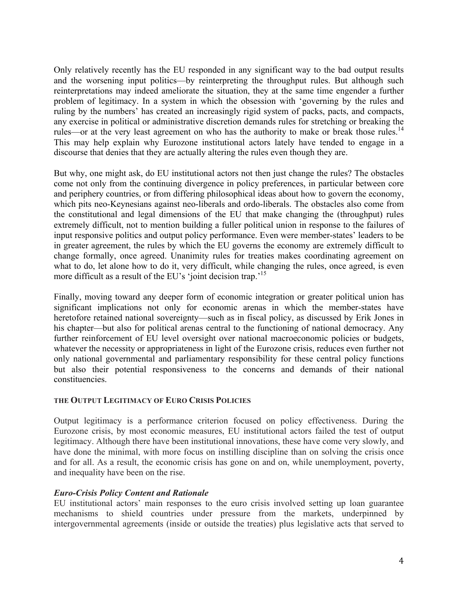Only relatively recently has the EU responded in any significant way to the bad output results and the worsening input politics—by reinterpreting the throughput rules. But although such reinterpretations may indeed ameliorate the situation, they at the same time engender a further problem of legitimacy. In a system in which the obsession with 'governing by the rules and ruling by the numbers' has created an increasingly rigid system of packs, pacts, and compacts, any exercise in political or administrative discretion demands rules for stretching or breaking the rules—or at the very least agreement on who has the authority to make or break those rules.<sup>14</sup> This may help explain why Eurozone institutional actors lately have tended to engage in a discourse that denies that they are actually altering the rules even though they are.

But why, one might ask, do EU institutional actors not then just change the rules? The obstacles come not only from the continuing divergence in policy preferences, in particular between core and periphery countries, or from differing philosophical ideas about how to govern the economy, which pits neo-Keynesians against neo-liberals and ordo-liberals. The obstacles also come from the constitutional and legal dimensions of the EU that make changing the (throughput) rules extremely difficult, not to mention building a fuller political union in response to the failures of input responsive politics and output policy performance. Even were member-states' leaders to be in greater agreement, the rules by which the EU governs the economy are extremely difficult to change formally, once agreed. Unanimity rules for treaties makes coordinating agreement on what to do, let alone how to do it, very difficult, while changing the rules, once agreed, is even more difficult as a result of the EU's 'joint decision trap.'<sup>15</sup>

Finally, moving toward any deeper form of economic integration or greater political union has significant implications not only for economic arenas in which the member-states have heretofore retained national sovereignty—such as in fiscal policy, as discussed by Erik Jones in his chapter—but also for political arenas central to the functioning of national democracy. Any further reinforcement of EU level oversight over national macroeconomic policies or budgets, whatever the necessity or appropriateness in light of the Eurozone crisis, reduces even further not only national governmental and parliamentary responsibility for these central policy functions but also their potential responsiveness to the concerns and demands of their national constituencies.

#### **THE OUTPUT LEGITIMACY OF EURO CRISIS POLICIES**

Output legitimacy is a performance criterion focused on policy effectiveness. During the Eurozone crisis, by most economic measures, EU institutional actors failed the test of output legitimacy. Although there have been institutional innovations, these have come very slowly, and have done the minimal, with more focus on instilling discipline than on solving the crisis once and for all. As a result, the economic crisis has gone on and on, while unemployment, poverty, and inequality have been on the rise.

#### *Euro-Crisis Policy Content and Rationale*

EU institutional actors' main responses to the euro crisis involved setting up loan guarantee mechanisms to shield countries under pressure from the markets, underpinned by intergovernmental agreements (inside or outside the treaties) plus legislative acts that served to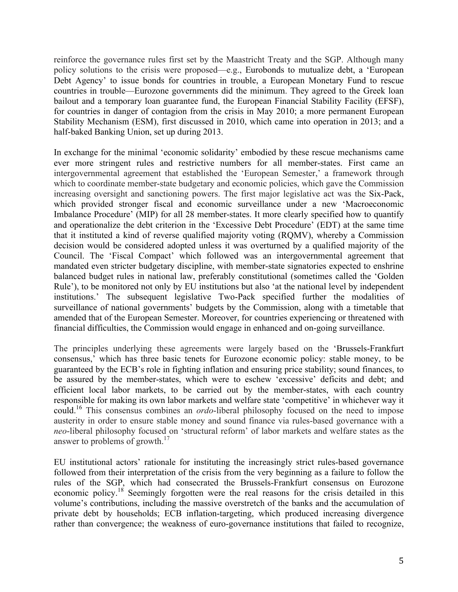reinforce the governance rules first set by the Maastricht Treaty and the SGP. Although many policy solutions to the crisis were proposed—e.g., Eurobonds to mutualize debt, a 'European Debt Agency' to issue bonds for countries in trouble, a European Monetary Fund to rescue countries in trouble—Eurozone governments did the minimum. They agreed to the Greek loan bailout and a temporary loan guarantee fund, the European Financial Stability Facility (EFSF), for countries in danger of contagion from the crisis in May 2010; a more permanent European Stability Mechanism (ESM), first discussed in 2010, which came into operation in 2013; and a half-baked Banking Union, set up during 2013.

In exchange for the minimal 'economic solidarity' embodied by these rescue mechanisms came ever more stringent rules and restrictive numbers for all member-states. First came an intergovernmental agreement that established the 'European Semester,' a framework through which to coordinate member-state budgetary and economic policies, which gave the Commission increasing oversight and sanctioning powers. The first major legislative act was the Six-Pack, which provided stronger fiscal and economic surveillance under a new 'Macroeconomic Imbalance Procedure' (MIP) for all 28 member-states. It more clearly specified how to quantify and operationalize the debt criterion in the 'Excessive Debt Procedure' (EDT) at the same time that it instituted a kind of reverse qualified majority voting (RQMV), whereby a Commission decision would be considered adopted unless it was overturned by a qualified majority of the Council. The 'Fiscal Compact' which followed was an intergovernmental agreement that mandated even stricter budgetary discipline, with member-state signatories expected to enshrine balanced budget rules in national law, preferably constitutional (sometimes called the 'Golden Rule'), to be monitored not only by EU institutions but also 'at the national level by independent institutions.' The subsequent legislative Two-Pack specified further the modalities of surveillance of national governments' budgets by the Commission, along with a timetable that amended that of the European Semester. Moreover, for countries experiencing or threatened with financial difficulties, the Commission would engage in enhanced and on-going surveillance.

The principles underlying these agreements were largely based on the 'Brussels-Frankfurt consensus,' which has three basic tenets for Eurozone economic policy: stable money, to be guaranteed by the ECB's role in fighting inflation and ensuring price stability; sound finances, to be assured by the member-states, which were to eschew 'excessive' deficits and debt; and efficient local labor markets, to be carried out by the member-states, with each country responsible for making its own labor markets and welfare state 'competitive' in whichever way it could.<sup>16</sup> This consensus combines an *ordo*-liberal philosophy focused on the need to impose austerity in order to ensure stable money and sound finance via rules-based governance with a *neo*-liberal philosophy focused on 'structural reform' of labor markets and welfare states as the answer to problems of growth. $^{17}$ 

EU institutional actors' rationale for instituting the increasingly strict rules-based governance followed from their interpretation of the crisis from the very beginning as a failure to follow the rules of the SGP, which had consecrated the Brussels-Frankfurt consensus on Eurozone economic policy.<sup>18</sup> Seemingly forgotten were the real reasons for the crisis detailed in this volume's contributions, including the massive overstretch of the banks and the accumulation of private debt by households; ECB inflation-targeting, which produced increasing divergence rather than convergence; the weakness of euro-governance institutions that failed to recognize,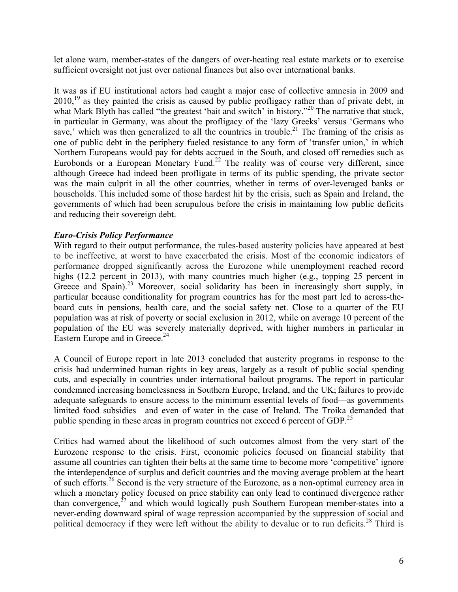let alone warn, member-states of the dangers of over-heating real estate markets or to exercise sufficient oversight not just over national finances but also over international banks.

It was as if EU institutional actors had caught a major case of collective amnesia in 2009 and  $2010$ ,<sup>19</sup> as they painted the crisis as caused by public profligacy rather than of private debt, in what Mark Blyth has called "the greatest 'bait and switch' in history."<sup>20</sup> The narrative that stuck, in particular in Germany, was about the profligacy of the 'lazy Greeks' versus 'Germans who save,' which was then generalized to all the countries in trouble.<sup>21</sup> The framing of the crisis as one of public debt in the periphery fueled resistance to any form of 'transfer union,' in which Northern Europeans would pay for debts accrued in the South, and closed off remedies such as Eurobonds or a European Monetary Fund.<sup>22</sup> The reality was of course very different, since although Greece had indeed been profligate in terms of its public spending, the private sector was the main culprit in all the other countries, whether in terms of over-leveraged banks or households. This included some of those hardest hit by the crisis, such as Spain and Ireland, the governments of which had been scrupulous before the crisis in maintaining low public deficits and reducing their sovereign debt.

### *Euro-Crisis Policy Performance*

With regard to their output performance, the rules-based austerity policies have appeared at best to be ineffective, at worst to have exacerbated the crisis. Most of the economic indicators of performance dropped significantly across the Eurozone while unemployment reached record highs (12.2 percent in 2013), with many countries much higher (e.g., topping 25 percent in Greece and Spain).<sup>23</sup> Moreover, social solidarity has been in increasingly short supply, in particular because conditionality for program countries has for the most part led to across-theboard cuts in pensions, health care, and the social safety net. Close to a quarter of the EU population was at risk of poverty or social exclusion in 2012, while on average 10 percent of the population of the EU was severely materially deprived, with higher numbers in particular in Eastern Europe and in Greece.<sup>24</sup>

A Council of Europe report in late 2013 concluded that austerity programs in response to the crisis had undermined human rights in key areas, largely as a result of public social spending cuts, and especially in countries under international bailout programs. The report in particular condemned increasing homelessness in Southern Europe, Ireland, and the UK; failures to provide adequate safeguards to ensure access to the minimum essential levels of food—as governments limited food subsidies—and even of water in the case of Ireland. The Troika demanded that public spending in these areas in program countries not exceed 6 percent of GDP.<sup>25</sup>

Critics had warned about the likelihood of such outcomes almost from the very start of the Eurozone response to the crisis. First, economic policies focused on financial stability that assume all countries can tighten their belts at the same time to become more 'competitive' ignore the interdependence of surplus and deficit countries and the moving average problem at the heart of such efforts.<sup>26</sup> Second is the very structure of the Eurozone, as a non-optimal currency area in which a monetary policy focused on price stability can only lead to continued divergence rather than convergence, $27$  and which would logically push Southern European member-states into a never-ending downward spiral of wage repression accompanied by the suppression of social and political democracy if they were left without the ability to devalue or to run deficits.<sup>28</sup> Third is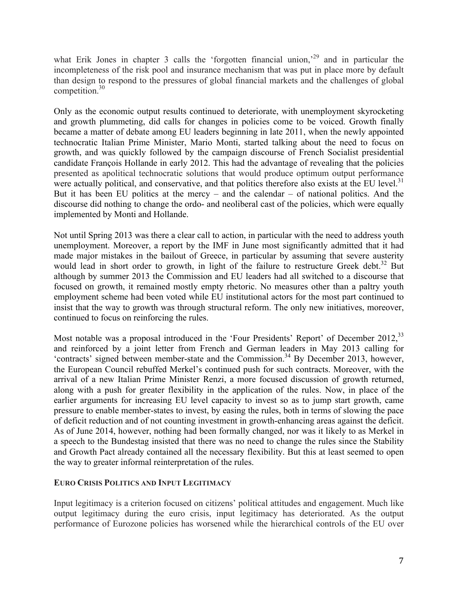what Erik Jones in chapter 3 calls the 'forgotten financial union,<sup>29</sup> and in particular the incompleteness of the risk pool and insurance mechanism that was put in place more by default than design to respond to the pressures of global financial markets and the challenges of global competition. $30$ 

Only as the economic output results continued to deteriorate, with unemployment skyrocketing and growth plummeting, did calls for changes in policies come to be voiced. Growth finally became a matter of debate among EU leaders beginning in late 2011, when the newly appointed technocratic Italian Prime Minister, Mario Monti, started talking about the need to focus on growth, and was quickly followed by the campaign discourse of French Socialist presidential candidate François Hollande in early 2012. This had the advantage of revealing that the policies presented as apolitical technocratic solutions that would produce optimum output performance were actually political, and conservative, and that politics therefore also exists at the EU level.<sup>31</sup> But it has been EU politics at the mercy – and the calendar – of national politics. And the discourse did nothing to change the ordo- and neoliberal cast of the policies, which were equally implemented by Monti and Hollande.

Not until Spring 2013 was there a clear call to action, in particular with the need to address youth unemployment. Moreover, a report by the IMF in June most significantly admitted that it had made major mistakes in the bailout of Greece, in particular by assuming that severe austerity would lead in short order to growth, in light of the failure to restructure Greek debt.<sup>32</sup> But although by summer 2013 the Commission and EU leaders had all switched to a discourse that focused on growth, it remained mostly empty rhetoric. No measures other than a paltry youth employment scheme had been voted while EU institutional actors for the most part continued to insist that the way to growth was through structural reform. The only new initiatives, moreover, continued to focus on reinforcing the rules.

Most notable was a proposal introduced in the 'Four Presidents' Report' of December 2012,<sup>33</sup> and reinforced by a joint letter from French and German leaders in May 2013 calling for 'contracts' signed between member-state and the Commission.<sup>34</sup> By December 2013, however, the European Council rebuffed Merkel's continued push for such contracts. Moreover, with the arrival of a new Italian Prime Minister Renzi, a more focused discussion of growth returned, along with a push for greater flexibility in the application of the rules. Now, in place of the earlier arguments for increasing EU level capacity to invest so as to jump start growth, came pressure to enable member-states to invest, by easing the rules, both in terms of slowing the pace of deficit reduction and of not counting investment in growth-enhancing areas against the deficit. As of June 2014, however, nothing had been formally changed, nor was it likely to as Merkel in a speech to the Bundestag insisted that there was no need to change the rules since the Stability and Growth Pact already contained all the necessary flexibility. But this at least seemed to open the way to greater informal reinterpretation of the rules.

### **EURO CRISIS POLITICS AND INPUT LEGITIMACY**

Input legitimacy is a criterion focused on citizens' political attitudes and engagement. Much like output legitimacy during the euro crisis, input legitimacy has deteriorated. As the output performance of Eurozone policies has worsened while the hierarchical controls of the EU over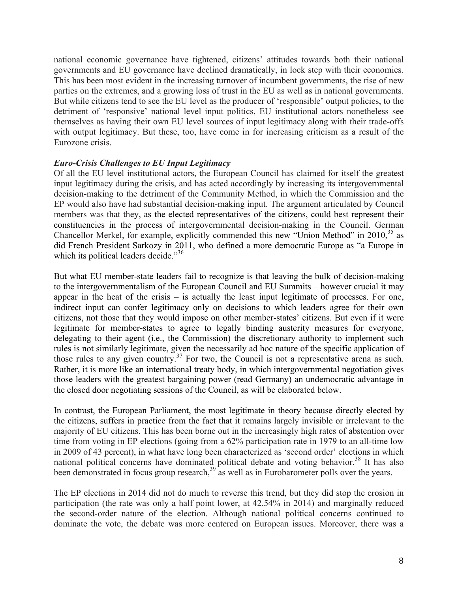national economic governance have tightened, citizens' attitudes towards both their national governments and EU governance have declined dramatically, in lock step with their economies. This has been most evident in the increasing turnover of incumbent governments, the rise of new parties on the extremes, and a growing loss of trust in the EU as well as in national governments. But while citizens tend to see the EU level as the producer of 'responsible' output policies, to the detriment of 'responsive' national level input politics, EU institutional actors nonetheless see themselves as having their own EU level sources of input legitimacy along with their trade-offs with output legitimacy. But these, too, have come in for increasing criticism as a result of the Eurozone crisis.

### *Euro-Crisis Challenges to EU Input Legitimacy*

Of all the EU level institutional actors, the European Council has claimed for itself the greatest input legitimacy during the crisis, and has acted accordingly by increasing its intergovernmental decision-making to the detriment of the Community Method, in which the Commission and the EP would also have had substantial decision-making input. The argument articulated by Council members was that they, as the elected representatives of the citizens, could best represent their constituencies in the process of intergovernmental decision-making in the Council. German Chancellor Merkel, for example, explicitly commended this new "Union Method" in 2010,<sup>35</sup> as did French President Sarkozy in 2011, who defined a more democratic Europe as "a Europe in which its political leaders decide."<sup>36</sup>

But what EU member-state leaders fail to recognize is that leaving the bulk of decision-making to the intergovernmentalism of the European Council and EU Summits – however crucial it may appear in the heat of the crisis – is actually the least input legitimate of processes. For one, indirect input can confer legitimacy only on decisions to which leaders agree for their own citizens, not those that they would impose on other member-states' citizens. But even if it were legitimate for member-states to agree to legally binding austerity measures for everyone, delegating to their agent (i.e., the Commission) the discretionary authority to implement such rules is not similarly legitimate, given the necessarily ad hoc nature of the specific application of those rules to any given country.<sup>37</sup> For two, the Council is not a representative arena as such. Rather, it is more like an international treaty body, in which intergovernmental negotiation gives those leaders with the greatest bargaining power (read Germany) an undemocratic advantage in the closed door negotiating sessions of the Council, as will be elaborated below.

In contrast, the European Parliament, the most legitimate in theory because directly elected by the citizens, suffers in practice from the fact that it remains largely invisible or irrelevant to the majority of EU citizens. This has been borne out in the increasingly high rates of abstention over time from voting in EP elections (going from a 62% participation rate in 1979 to an all-time low in 2009 of 43 percent), in what have long been characterized as 'second order' elections in which national political concerns have dominated political debate and voting behavior.<sup>38</sup> It has also been demonstrated in focus group research,<sup>39</sup> as well as in Eurobarometer polls over the years.

The EP elections in 2014 did not do much to reverse this trend, but they did stop the erosion in participation (the rate was only a half point lower, at 42.54% in 2014) and marginally reduced the second-order nature of the election. Although national political concerns continued to dominate the vote, the debate was more centered on European issues. Moreover, there was a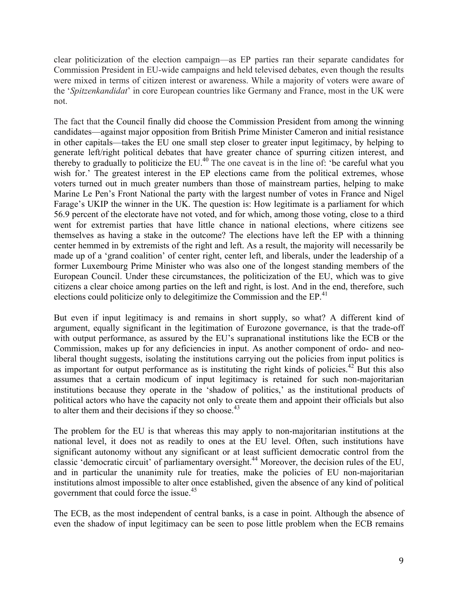clear politicization of the election campaign—as EP parties ran their separate candidates for Commission President in EU-wide campaigns and held televised debates, even though the results were mixed in terms of citizen interest or awareness. While a majority of voters were aware of the '*Spitzenkandidat*' in core European countries like Germany and France, most in the UK were not.

The fact that the Council finally did choose the Commission President from among the winning candidates—against major opposition from British Prime Minister Cameron and initial resistance in other capitals—takes the EU one small step closer to greater input legitimacy, by helping to generate left/right political debates that have greater chance of spurring citizen interest, and thereby to gradually to politicize the EU.<sup>40</sup> The one caveat is in the line of: 'be careful what you wish for.' The greatest interest in the EP elections came from the political extremes, whose voters turned out in much greater numbers than those of mainstream parties, helping to make Marine Le Pen's Front National the party with the largest number of votes in France and Nigel Farage's UKIP the winner in the UK. The question is: How legitimate is a parliament for which 56.9 percent of the electorate have not voted, and for which, among those voting, close to a third went for extremist parties that have little chance in national elections, where citizens see themselves as having a stake in the outcome? The elections have left the EP with a thinning center hemmed in by extremists of the right and left. As a result, the majority will necessarily be made up of a 'grand coalition' of center right, center left, and liberals, under the leadership of a former Luxembourg Prime Minister who was also one of the longest standing members of the European Council. Under these circumstances, the politicization of the EU, which was to give citizens a clear choice among parties on the left and right, is lost. And in the end, therefore, such elections could politicize only to delegitimize the Commission and the  $EP<sup>41</sup>$ 

But even if input legitimacy is and remains in short supply, so what? A different kind of argument, equally significant in the legitimation of Eurozone governance, is that the trade-off with output performance, as assured by the EU's supranational institutions like the ECB or the Commission, makes up for any deficiencies in input. As another component of ordo- and neoliberal thought suggests, isolating the institutions carrying out the policies from input politics is as important for output performance as is instituting the right kinds of policies.<sup>42</sup> But this also assumes that a certain modicum of input legitimacy is retained for such non-majoritarian institutions because they operate in the 'shadow of politics,' as the institutional products of political actors who have the capacity not only to create them and appoint their officials but also to alter them and their decisions if they so choose.<sup>43</sup>

The problem for the EU is that whereas this may apply to non-majoritarian institutions at the national level, it does not as readily to ones at the EU level. Often, such institutions have significant autonomy without any significant or at least sufficient democratic control from the classic 'democratic circuit' of parliamentary oversight.<sup>44</sup> Moreover, the decision rules of the EU, and in particular the unanimity rule for treaties, make the policies of EU non-majoritarian institutions almost impossible to alter once established, given the absence of any kind of political government that could force the issue.<sup>45</sup>

The ECB, as the most independent of central banks, is a case in point. Although the absence of even the shadow of input legitimacy can be seen to pose little problem when the ECB remains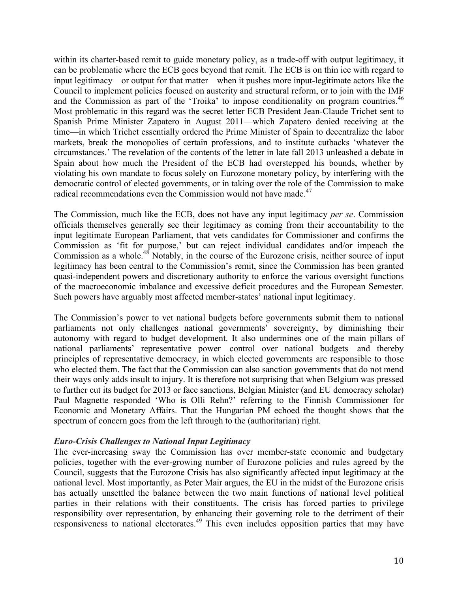within its charter-based remit to guide monetary policy, as a trade-off with output legitimacy, it can be problematic where the ECB goes beyond that remit. The ECB is on thin ice with regard to input legitimacy—or output for that matter—when it pushes more input-legitimate actors like the Council to implement policies focused on austerity and structural reform, or to join with the IMF and the Commission as part of the 'Troika' to impose conditionality on program countries.<sup>46</sup> Most problematic in this regard was the secret letter ECB President Jean-Claude Trichet sent to Spanish Prime Minister Zapatero in August 2011—which Zapatero denied receiving at the time—in which Trichet essentially ordered the Prime Minister of Spain to decentralize the labor markets, break the monopolies of certain professions, and to institute cutbacks 'whatever the circumstances.' The revelation of the contents of the letter in late fall 2013 unleashed a debate in Spain about how much the President of the ECB had overstepped his bounds, whether by violating his own mandate to focus solely on Eurozone monetary policy, by interfering with the democratic control of elected governments, or in taking over the role of the Commission to make radical recommendations even the Commission would not have made.<sup>47</sup>

The Commission, much like the ECB, does not have any input legitimacy *per se*. Commission officials themselves generally see their legitimacy as coming from their accountability to the input legitimate European Parliament, that vets candidates for Commissioner and confirms the Commission as 'fit for purpose,' but can reject individual candidates and/or impeach the Commission as a whole.<sup>48</sup> Notably, in the course of the Eurozone crisis, neither source of input legitimacy has been central to the Commission's remit, since the Commission has been granted quasi-independent powers and discretionary authority to enforce the various oversight functions of the macroeconomic imbalance and excessive deficit procedures and the European Semester. Such powers have arguably most affected member-states' national input legitimacy.

The Commission's power to vet national budgets before governments submit them to national parliaments not only challenges national governments' sovereignty, by diminishing their autonomy with regard to budget development. It also undermines one of the main pillars of national parliaments' representative power—control over national budgets—and thereby principles of representative democracy, in which elected governments are responsible to those who elected them. The fact that the Commission can also sanction governments that do not mend their ways only adds insult to injury. It is therefore not surprising that when Belgium was pressed to further cut its budget for 2013 or face sanctions, Belgian Minister (and EU democracy scholar) Paul Magnette responded 'Who is Olli Rehn?' referring to the Finnish Commissioner for Economic and Monetary Affairs. That the Hungarian PM echoed the thought shows that the spectrum of concern goes from the left through to the (authoritarian) right.

#### *Euro-Crisis Challenges to National Input Legitimacy*

The ever-increasing sway the Commission has over member-state economic and budgetary policies, together with the ever-growing number of Eurozone policies and rules agreed by the Council, suggests that the Eurozone Crisis has also significantly affected input legitimacy at the national level. Most importantly, as Peter Mair argues, the EU in the midst of the Eurozone crisis has actually unsettled the balance between the two main functions of national level political parties in their relations with their constituents. The crisis has forced parties to privilege responsibility over representation, by enhancing their governing role to the detriment of their responsiveness to national electorates.<sup>49</sup> This even includes opposition parties that may have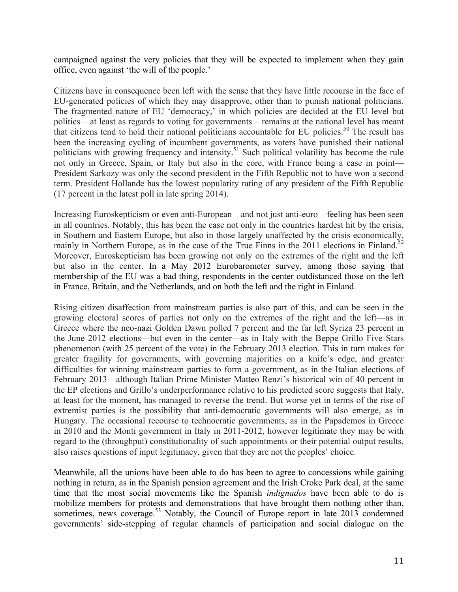campaigned against the very policies that they will be expected to implement when they gain office, even against 'the will of the people.'

Citizens have in consequence been left with the sense that they have little recourse in the face of EU-generated policies of which they may disapprove, other than to punish national politicians. The fragmented nature of EU 'democracy,' in which policies are decided at the EU level but politics – at least as regards to voting for governments – remains at the national level has meant that citizens tend to hold their national politicians accountable for EU policies.<sup>50</sup> The result has been the increasing cycling of incumbent governments, as voters have punished their national politicians with growing frequency and intensity.<sup>51</sup> Such political volatility has become the rule not only in Greece, Spain, or Italy but also in the core, with France being a case in point— President Sarkozy was only the second president in the Fifth Republic not to have won a second term. President Hollande has the lowest popularity rating of any president of the Fifth Republic (17 percent in the latest poll in late spring 2014).

Increasing Euroskepticism or even anti-European—and not just anti-euro—feeling has been seen in all countries. Notably, this has been the case not only in the countries hardest hit by the crisis, in Southern and Eastern Europe, but also in those largely unaffected by the crisis economically, mainly in Northern Europe, as in the case of the True Finns in the 2011 elections in Finland.<sup>52</sup> Moreover, Euroskepticism has been growing not only on the extremes of the right and the left but also in the center. In a May 2012 Eurobarometer survey, among those saying that membership of the EU was a bad thing, respondents in the center outdistanced those on the left in France, Britain, and the Netherlands, and on both the left and the right in Finland.

Rising citizen disaffection from mainstream parties is also part of this, and can be seen in the growing electoral scores of parties not only on the extremes of the right and the left—as in Greece where the neo-nazi Golden Dawn polled 7 percent and the far left Syriza 23 percent in the June 2012 elections—but even in the center—as in Italy with the Beppe Grillo Five Stars phenomenon (with 25 percent of the vote) in the February 2013 election. This in turn makes for greater fragility for governments, with governing majorities on a knife's edge, and greater difficulties for winning mainstream parties to form a government, as in the Italian elections of February 2013—although Italian Prime Minister Matteo Renzi's historical win of 40 percent in the EP elections and Grillo's underperformance relative to his predicted score suggests that Italy, at least for the moment, has managed to reverse the trend. But worse yet in terms of the rise of extremist parties is the possibility that anti-democratic governments will also emerge, as in Hungary. The occasional recourse to technocratic governments, as in the Papademos in Greece in 2010 and the Monti government in Italy in 2011-2012, however legitimate they may be with regard to the (throughput) constitutionality of such appointments or their potential output results, also raises questions of input legitimacy, given that they are not the peoples' choice.

Meanwhile, all the unions have been able to do has been to agree to concessions while gaining nothing in return, as in the Spanish pension agreement and the Irish Croke Park deal, at the same time that the most social movements like the Spanish *indignados* have been able to do is mobilize members for protests and demonstrations that have brought them nothing other than, sometimes, news coverage.<sup>53</sup> Notably, the Council of Europe report in late 2013 condemned governments' side-stepping of regular channels of participation and social dialogue on the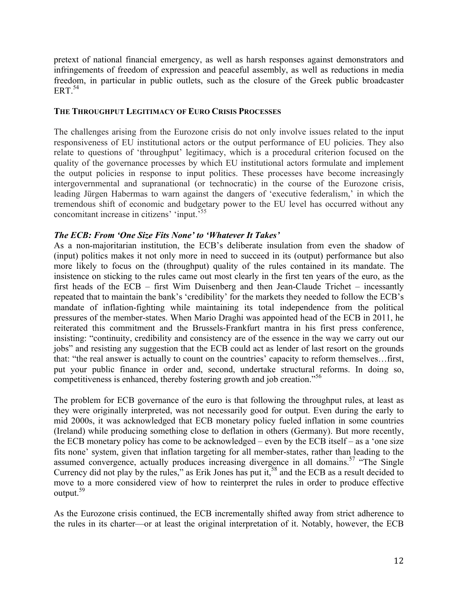pretext of national financial emergency, as well as harsh responses against demonstrators and infringements of freedom of expression and peaceful assembly, as well as reductions in media freedom, in particular in public outlets, such as the closure of the Greek public broadcaster  $ERT.<sup>54</sup>$ 

#### **THE THROUGHPUT LEGITIMACY OF EURO CRISIS PROCESSES**

The challenges arising from the Eurozone crisis do not only involve issues related to the input responsiveness of EU institutional actors or the output performance of EU policies. They also relate to questions of 'throughput' legitimacy, which is a procedural criterion focused on the quality of the governance processes by which EU institutional actors formulate and implement the output policies in response to input politics. These processes have become increasingly intergovernmental and supranational (or technocratic) in the course of the Eurozone crisis, leading Jürgen Habermas to warn against the dangers of 'executive federalism,' in which the tremendous shift of economic and budgetary power to the EU level has occurred without any concomitant increase in citizens' 'input.'<sup>55</sup>

# *The ECB: From 'One Size Fits None' to 'Whatever It Takes'*

As a non-majoritarian institution, the ECB's deliberate insulation from even the shadow of (input) politics makes it not only more in need to succeed in its (output) performance but also more likely to focus on the (throughput) quality of the rules contained in its mandate. The insistence on sticking to the rules came out most clearly in the first ten years of the euro, as the first heads of the ECB – first Wim Duisenberg and then Jean-Claude Trichet – incessantly repeated that to maintain the bank's 'credibility' for the markets they needed to follow the ECB's mandate of inflation-fighting while maintaining its total independence from the political pressures of the member-states. When Mario Draghi was appointed head of the ECB in 2011, he reiterated this commitment and the Brussels-Frankfurt mantra in his first press conference, insisting: "continuity, credibility and consistency are of the essence in the way we carry out our jobs" and resisting any suggestion that the ECB could act as lender of last resort on the grounds that: "the real answer is actually to count on the countries' capacity to reform themselves…first, put your public finance in order and, second, undertake structural reforms. In doing so, competitiveness is enhanced, thereby fostering growth and job creation."<sup>56</sup>

The problem for ECB governance of the euro is that following the throughput rules, at least as they were originally interpreted, was not necessarily good for output. Even during the early to mid 2000s, it was acknowledged that ECB monetary policy fueled inflation in some countries (Ireland) while producing something close to deflation in others (Germany). But more recently, the ECB monetary policy has come to be acknowledged – even by the ECB itself – as a 'one size fits none' system, given that inflation targeting for all member-states, rather than leading to the assumed convergence, actually produces increasing divergence in all domains.<sup>57</sup> "The Single" Currency did not play by the rules," as Erik Jones has put it,  $58$  and the ECB as a result decided to move to a more considered view of how to reinterpret the rules in order to produce effective output.59

As the Eurozone crisis continued, the ECB incrementally shifted away from strict adherence to the rules in its charter—or at least the original interpretation of it. Notably, however, the ECB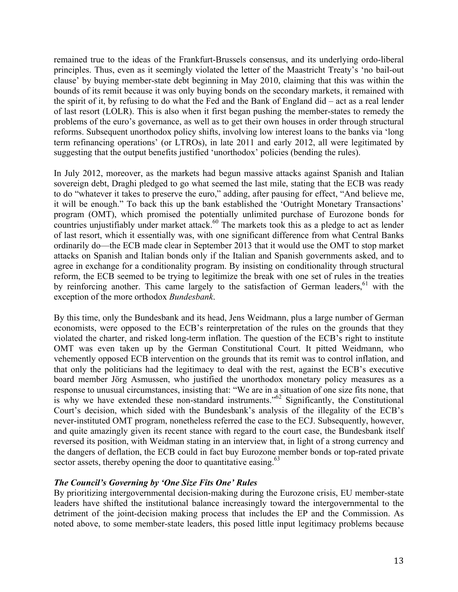remained true to the ideas of the Frankfurt-Brussels consensus, and its underlying ordo-liberal principles. Thus, even as it seemingly violated the letter of the Maastricht Treaty's 'no bail-out clause' by buying member-state debt beginning in May 2010, claiming that this was within the bounds of its remit because it was only buying bonds on the secondary markets, it remained with the spirit of it, by refusing to do what the Fed and the Bank of England did – act as a real lender of last resort (LOLR). This is also when it first began pushing the member-states to remedy the problems of the euro's governance, as well as to get their own houses in order through structural reforms. Subsequent unorthodox policy shifts, involving low interest loans to the banks via 'long term refinancing operations' (or LTROs), in late 2011 and early 2012, all were legitimated by suggesting that the output benefits justified 'unorthodox' policies (bending the rules).

In July 2012, moreover, as the markets had begun massive attacks against Spanish and Italian sovereign debt, Draghi pledged to go what seemed the last mile, stating that the ECB was ready to do "whatever it takes to preserve the euro," adding, after pausing for effect, "And believe me, it will be enough." To back this up the bank established the 'Outright Monetary Transactions' program (OMT), which promised the potentially unlimited purchase of Eurozone bonds for countries unjustifiably under market attack.<sup>60</sup> The markets took this as a pledge to act as lender of last resort, which it essentially was, with one significant difference from what Central Banks ordinarily do—the ECB made clear in September 2013 that it would use the OMT to stop market attacks on Spanish and Italian bonds only if the Italian and Spanish governments asked, and to agree in exchange for a conditionality program. By insisting on conditionality through structural reform, the ECB seemed to be trying to legitimize the break with one set of rules in the treaties by reinforcing another. This came largely to the satisfaction of German leaders,<sup>61</sup> with the exception of the more orthodox *Bundesbank*.

By this time, only the Bundesbank and its head, Jens Weidmann, plus a large number of German economists, were opposed to the ECB's reinterpretation of the rules on the grounds that they violated the charter, and risked long-term inflation. The question of the ECB's right to institute OMT was even taken up by the German Constitutional Court. It pitted Weidmann, who vehemently opposed ECB intervention on the grounds that its remit was to control inflation, and that only the politicians had the legitimacy to deal with the rest, against the ECB's executive board member Jörg Asmussen, who justified the unorthodox monetary policy measures as a response to unusual circumstances, insisting that: "We are in a situation of one size fits none, that is why we have extended these non-standard instruments."62 Significantly, the Constitutional Court's decision, which sided with the Bundesbank's analysis of the illegality of the ECB's never-instituted OMT program, nonetheless referred the case to the ECJ. Subsequently, however, and quite amazingly given its recent stance with regard to the court case, the Bundesbank itself reversed its position, with Weidman stating in an interview that, in light of a strong currency and the dangers of deflation, the ECB could in fact buy Eurozone member bonds or top-rated private sector assets, thereby opening the door to quantitative easing.<sup>63</sup>

# *The Council's Governing by 'One Size Fits One' Rules*

By prioritizing intergovernmental decision-making during the Eurozone crisis, EU member-state leaders have shifted the institutional balance increasingly toward the intergovernmental to the detriment of the joint-decision making process that includes the EP and the Commission. As noted above, to some member-state leaders, this posed little input legitimacy problems because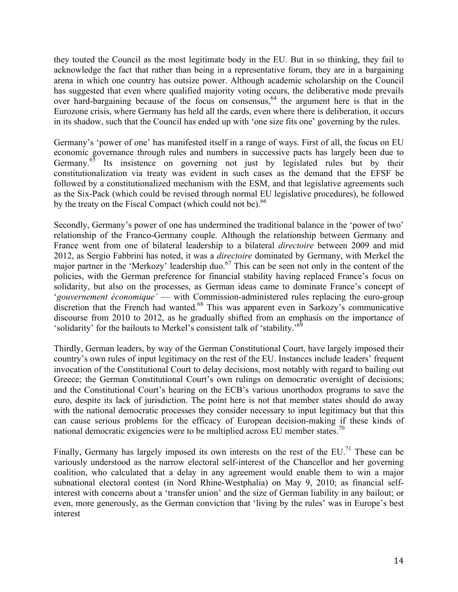they touted the Council as the most legitimate body in the EU. But in so thinking, they fail to acknowledge the fact that rather than being in a representative forum, they are in a bargaining arena in which one country has outsize power. Although academic scholarship on the Council has suggested that even where qualified majority voting occurs, the deliberative mode prevails over hard-bargaining because of the focus on consensus,  $64$  the argument here is that in the Eurozone crisis, where Germany has held all the cards, even where there is deliberation, it occurs in its shadow, such that the Council has ended up with 'one size fits one' governing by the rules.

Germany's 'power of one' has manifested itself in a range of ways. First of all, the focus on EU economic governance through rules and numbers in successive pacts has largely been due to Germany. $65$  Its insistence on governing not just by legislated rules but by their constitutionalization via treaty was evident in such cases as the demand that the EFSF be followed by a constitutionalized mechanism with the ESM, and that legislative agreements such as the Six-Pack (which could be revised through normal EU legislative procedures), be followed by the treaty on the Fiscal Compact (which could not be).<sup>66</sup>

Secondly, Germany's power of one has undermined the traditional balance in the 'power of two' relationship of the Franco-Germany couple. Although the relationship between Germany and France went from one of bilateral leadership to a bilateral *directoire* between 2009 and mid 2012, as Sergio Fabbrini has noted, it was a *directoire* dominated by Germany, with Merkel the major partner in the 'Merkozy' leadership duo.<sup>67</sup> This can be seen not only in the content of the policies, with the German preference for financial stability having replaced France's focus on solidarity, but also on the processes, as German ideas came to dominate France's concept of '*gouvernement économique'* — with Commission-administered rules replacing the euro-group discretion that the French had wanted.<sup>68</sup> This was apparent even in Sarkozy's communicative discourse from 2010 to 2012, as he gradually shifted from an emphasis on the importance of 'solidarity' for the bailouts to Merkel's consistent talk of 'stability.'69

Thirdly, German leaders, by way of the German Constitutional Court, have largely imposed their country's own rules of input legitimacy on the rest of the EU. Instances include leaders' frequent invocation of the Constitutional Court to delay decisions, most notably with regard to bailing out Greece; the German Constitutional Court's own rulings on democratic oversight of decisions; and the Constitutional Court's hearing on the ECB's various unorthodox programs to save the euro, despite its lack of jurisdiction. The point here is not that member states should do away with the national democratic processes they consider necessary to input legitimacy but that this can cause serious problems for the efficacy of European decision-making if these kinds of national democratic exigencies were to be multiplied across EU member states.<sup>70</sup>

Finally, Germany has largely imposed its own interests on the rest of the  $EU^{71}$ . These can be variously understood as the narrow electoral self-interest of the Chancellor and her governing coalition, who calculated that a delay in any agreement would enable them to win a major subnational electoral contest (in Nord Rhine-Westphalia) on May 9, 2010; as financial selfinterest with concerns about a 'transfer union' and the size of German liability in any bailout; or even, more generously, as the German conviction that 'living by the rules' was in Europe's best interest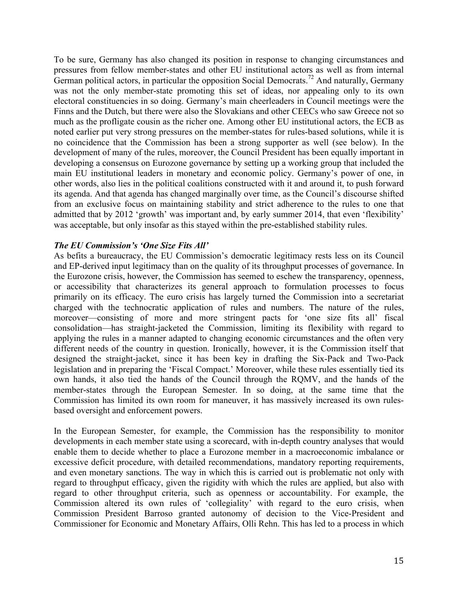To be sure, Germany has also changed its position in response to changing circumstances and pressures from fellow member-states and other EU institutional actors as well as from internal German political actors, in particular the opposition Social Democrats.<sup>72</sup> And naturally, Germany was not the only member-state promoting this set of ideas, nor appealing only to its own electoral constituencies in so doing. Germany's main cheerleaders in Council meetings were the Finns and the Dutch, but there were also the Slovakians and other CEECs who saw Greece not so much as the profligate cousin as the richer one. Among other EU institutional actors, the ECB as noted earlier put very strong pressures on the member-states for rules-based solutions, while it is no coincidence that the Commission has been a strong supporter as well (see below). In the development of many of the rules, moreover, the Council President has been equally important in developing a consensus on Eurozone governance by setting up a working group that included the main EU institutional leaders in monetary and economic policy. Germany's power of one, in other words, also lies in the political coalitions constructed with it and around it, to push forward its agenda. And that agenda has changed marginally over time, as the Council's discourse shifted from an exclusive focus on maintaining stability and strict adherence to the rules to one that admitted that by 2012 'growth' was important and, by early summer 2014, that even 'flexibility' was acceptable, but only insofar as this stayed within the pre-established stability rules.

#### *The EU Commission's 'One Size Fits All'*

As befits a bureaucracy, the EU Commission's democratic legitimacy rests less on its Council and EP-derived input legitimacy than on the quality of its throughput processes of governance. In the Eurozone crisis, however, the Commission has seemed to eschew the transparency, openness, or accessibility that characterizes its general approach to formulation processes to focus primarily on its efficacy. The euro crisis has largely turned the Commission into a secretariat charged with the technocratic application of rules and numbers. The nature of the rules, moreover—consisting of more and more stringent pacts for 'one size fits all' fiscal consolidation—has straight-jacketed the Commission, limiting its flexibility with regard to applying the rules in a manner adapted to changing economic circumstances and the often very different needs of the country in question. Ironically, however, it is the Commission itself that designed the straight-jacket, since it has been key in drafting the Six-Pack and Two-Pack legislation and in preparing the 'Fiscal Compact.' Moreover, while these rules essentially tied its own hands, it also tied the hands of the Council through the RQMV, and the hands of the member-states through the European Semester. In so doing, at the same time that the Commission has limited its own room for maneuver, it has massively increased its own rulesbased oversight and enforcement powers.

In the European Semester, for example, the Commission has the responsibility to monitor developments in each member state using a scorecard, with in-depth country analyses that would enable them to decide whether to place a Eurozone member in a macroeconomic imbalance or excessive deficit procedure, with detailed recommendations, mandatory reporting requirements, and even monetary sanctions. The way in which this is carried out is problematic not only with regard to throughput efficacy, given the rigidity with which the rules are applied, but also with regard to other throughput criteria, such as openness or accountability. For example, the Commission altered its own rules of 'collegiality' with regard to the euro crisis, when Commission President Barroso granted autonomy of decision to the Vice-President and Commissioner for Economic and Monetary Affairs, Olli Rehn. This has led to a process in which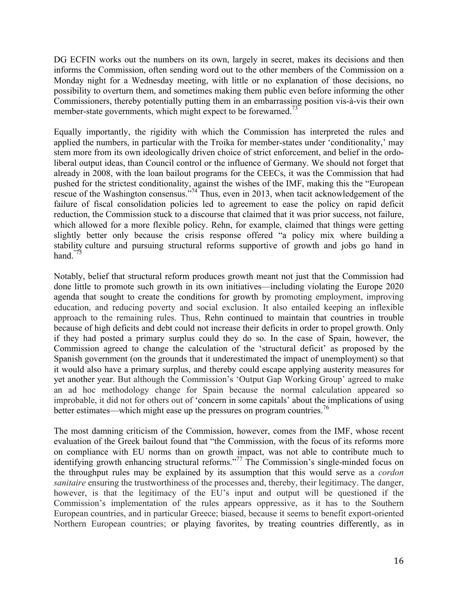DG ECFIN works out the numbers on its own, largely in secret, makes its decisions and then informs the Commission, often sending word out to the other members of the Commission on a Monday night for a Wednesday meeting, with little or no explanation of those decisions, no possibility to overturn them, and sometimes making them public even before informing the other Commissioners, thereby potentially putting them in an embarrassing position vis-à-vis their own member-state governments, which might expect to be forewarned.<sup>73</sup>

Equally importantly, the rigidity with which the Commission has interpreted the rules and applied the numbers, in particular with the Troika for member-states under 'conditionality,' may stem more from its own ideologically driven choice of strict enforcement, and belief in the ordoliberal output ideas, than Council control or the influence of Germany. We should not forget that already in 2008, with the loan bailout programs for the CEECs, it was the Commission that had pushed for the strictest conditionality, against the wishes of the IMF, making this the "European rescue of the Washington consensus."<sup>74</sup> Thus, even in 2013, when tacit acknowledgement of the failure of fiscal consolidation policies led to agreement to ease the policy on rapid deficit reduction, the Commission stuck to a discourse that claimed that it was prior success, not failure, which allowed for a more flexible policy. Rehn, for example, claimed that things were getting slightly better only because the crisis response offered "a policy mix where building a stability culture and pursuing structural reforms supportive of growth and jobs go hand in hand.<sup>"75</sup>

Notably, belief that structural reform produces growth meant not just that the Commission had done little to promote such growth in its own initiatives—including violating the Europe 2020 agenda that sought to create the conditions for growth by promoting employment, improving education, and reducing poverty and social exclusion. It also entailed keeping an inflexible approach to the remaining rules. Thus, Rehn continued to maintain that countries in trouble because of high deficits and debt could not increase their deficits in order to propel growth. Only if they had posted a primary surplus could they do so. In the case of Spain, however, the Commission agreed to change the calculation of the 'structural deficit' as proposed by the Spanish government (on the grounds that it underestimated the impact of unemployment) so that it would also have a primary surplus, and thereby could escape applying austerity measures for yet another year. But although the Commission's 'Output Gap Working Group' agreed to make an ad hoc methodology change for Spain because the normal calculation appeared so improbable, it did not for others out of 'concern in some capitals' about the implications of using better estimates—which might ease up the pressures on program countries.<sup>76</sup>

The most damning criticism of the Commission, however, comes from the IMF, whose recent evaluation of the Greek bailout found that "the Commission, with the focus of its reforms more on compliance with EU norms than on growth impact, was not able to contribute much to identifying growth enhancing structural reforms."<sup>77</sup> The Commission's single-minded focus on the throughput rules may be explained by its assumption that this would serve as a *cordon sanitaire* ensuring the trustworthiness of the processes and, thereby, their legitimacy. The danger, however, is that the legitimacy of the EU's input and output will be questioned if the Commission's implementation of the rules appears oppressive, as it has to the Southern European countries, and in particular Greece; biased, because it seems to benefit export-oriented Northern European countries; or playing favorites, by treating countries differently, as in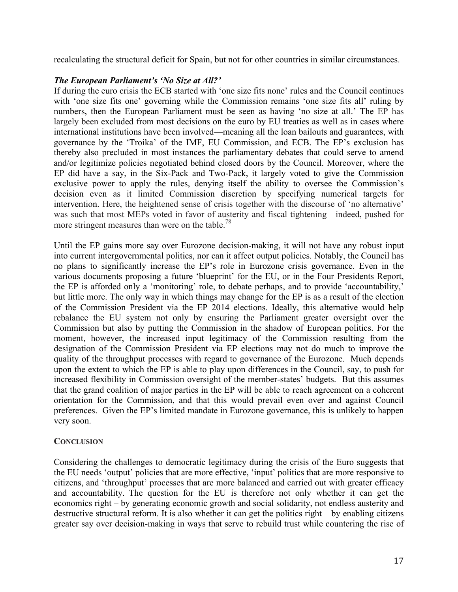recalculating the structural deficit for Spain, but not for other countries in similar circumstances.

### *The European Parliament's 'No Size at All?'*

If during the euro crisis the ECB started with 'one size fits none' rules and the Council continues with 'one size fits one' governing while the Commission remains 'one size fits all' ruling by numbers, then the European Parliament must be seen as having 'no size at all.' The EP has largely been excluded from most decisions on the euro by EU treaties as well as in cases where international institutions have been involved—meaning all the loan bailouts and guarantees, with governance by the 'Troika' of the IMF, EU Commission, and ECB. The EP's exclusion has thereby also precluded in most instances the parliamentary debates that could serve to amend and/or legitimize policies negotiated behind closed doors by the Council. Moreover, where the EP did have a say, in the Six-Pack and Two-Pack, it largely voted to give the Commission exclusive power to apply the rules, denying itself the ability to oversee the Commission's decision even as it limited Commission discretion by specifying numerical targets for intervention. Here, the heightened sense of crisis together with the discourse of 'no alternative' was such that most MEPs voted in favor of austerity and fiscal tightening—indeed, pushed for more stringent measures than were on the table.<sup>78</sup>

Until the EP gains more say over Eurozone decision-making, it will not have any robust input into current intergovernmental politics, nor can it affect output policies. Notably, the Council has no plans to significantly increase the EP's role in Eurozone crisis governance. Even in the various documents proposing a future 'blueprint' for the EU, or in the Four Presidents Report, the EP is afforded only a 'monitoring' role, to debate perhaps, and to provide 'accountability,' but little more. The only way in which things may change for the EP is as a result of the election of the Commission President via the EP 2014 elections. Ideally, this alternative would help rebalance the EU system not only by ensuring the Parliament greater oversight over the Commission but also by putting the Commission in the shadow of European politics. For the moment, however, the increased input legitimacy of the Commission resulting from the designation of the Commission President via EP elections may not do much to improve the quality of the throughput processes with regard to governance of the Eurozone. Much depends upon the extent to which the EP is able to play upon differences in the Council, say, to push for increased flexibility in Commission oversight of the member-states' budgets. But this assumes that the grand coalition of major parties in the EP will be able to reach agreement on a coherent orientation for the Commission, and that this would prevail even over and against Council preferences. Given the EP's limited mandate in Eurozone governance, this is unlikely to happen very soon.

#### **CONCLUSION**

Considering the challenges to democratic legitimacy during the crisis of the Euro suggests that the EU needs 'output' policies that are more effective, 'input' politics that are more responsive to citizens, and 'throughput' processes that are more balanced and carried out with greater efficacy and accountability. The question for the EU is therefore not only whether it can get the economics right – by generating economic growth and social solidarity, not endless austerity and destructive structural reform. It is also whether it can get the politics right – by enabling citizens greater say over decision-making in ways that serve to rebuild trust while countering the rise of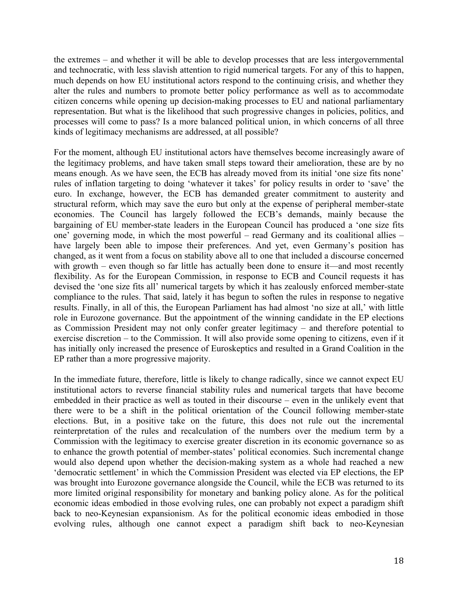the extremes – and whether it will be able to develop processes that are less intergovernmental and technocratic, with less slavish attention to rigid numerical targets. For any of this to happen, much depends on how EU institutional actors respond to the continuing crisis, and whether they alter the rules and numbers to promote better policy performance as well as to accommodate citizen concerns while opening up decision-making processes to EU and national parliamentary representation. But what is the likelihood that such progressive changes in policies, politics, and processes will come to pass? Is a more balanced political union, in which concerns of all three kinds of legitimacy mechanisms are addressed, at all possible?

For the moment, although EU institutional actors have themselves become increasingly aware of the legitimacy problems, and have taken small steps toward their amelioration, these are by no means enough. As we have seen, the ECB has already moved from its initial 'one size fits none' rules of inflation targeting to doing 'whatever it takes' for policy results in order to 'save' the euro. In exchange, however, the ECB has demanded greater commitment to austerity and structural reform, which may save the euro but only at the expense of peripheral member-state economies. The Council has largely followed the ECB's demands, mainly because the bargaining of EU member-state leaders in the European Council has produced a 'one size fits one' governing mode, in which the most powerful – read Germany and its coalitional allies – have largely been able to impose their preferences. And yet, even Germany's position has changed, as it went from a focus on stability above all to one that included a discourse concerned with growth – even though so far little has actually been done to ensure it—and most recently flexibility. As for the European Commission, in response to ECB and Council requests it has devised the 'one size fits all' numerical targets by which it has zealously enforced member-state compliance to the rules. That said, lately it has begun to soften the rules in response to negative results. Finally, in all of this, the European Parliament has had almost 'no size at all,' with little role in Eurozone governance. But the appointment of the winning candidate in the EP elections as Commission President may not only confer greater legitimacy – and therefore potential to exercise discretion – to the Commission. It will also provide some opening to citizens, even if it has initially only increased the presence of Euroskeptics and resulted in a Grand Coalition in the EP rather than a more progressive majority.

In the immediate future, therefore, little is likely to change radically, since we cannot expect EU institutional actors to reverse financial stability rules and numerical targets that have become embedded in their practice as well as touted in their discourse – even in the unlikely event that there were to be a shift in the political orientation of the Council following member-state elections. But, in a positive take on the future, this does not rule out the incremental reinterpretation of the rules and recalculation of the numbers over the medium term by a Commission with the legitimacy to exercise greater discretion in its economic governance so as to enhance the growth potential of member-states' political economies. Such incremental change would also depend upon whether the decision-making system as a whole had reached a new 'democratic settlement' in which the Commission President was elected via EP elections, the EP was brought into Eurozone governance alongside the Council, while the ECB was returned to its more limited original responsibility for monetary and banking policy alone. As for the political economic ideas embodied in those evolving rules, one can probably not expect a paradigm shift back to neo-Keynesian expansionism. As for the political economic ideas embodied in those evolving rules, although one cannot expect a paradigm shift back to neo-Keynesian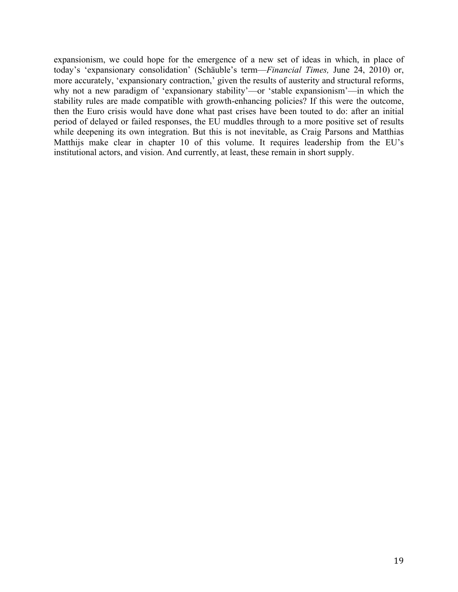expansionism, we could hope for the emergence of a new set of ideas in which, in place of today's 'expansionary consolidation' (Schäuble's term—*Financial Times,* June 24, 2010) or, more accurately, 'expansionary contraction,' given the results of austerity and structural reforms, why not a new paradigm of 'expansionary stability'—or 'stable expansionism'—in which the stability rules are made compatible with growth-enhancing policies? If this were the outcome, then the Euro crisis would have done what past crises have been touted to do: after an initial period of delayed or failed responses, the EU muddles through to a more positive set of results while deepening its own integration. But this is not inevitable, as Craig Parsons and Matthias Matthijs make clear in chapter 10 of this volume. It requires leadership from the EU's institutional actors, and vision. And currently, at least, these remain in short supply.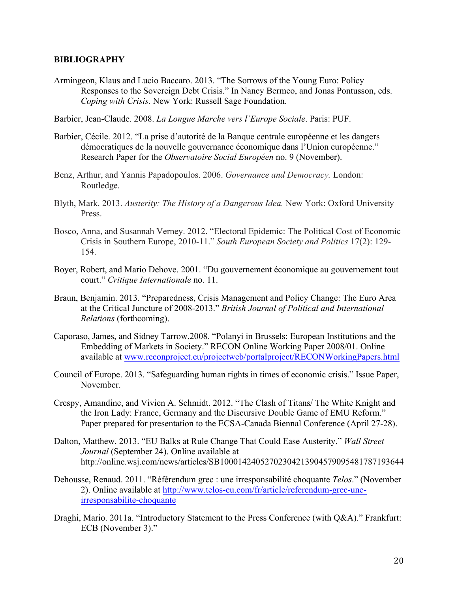#### **BIBLIOGRAPHY**

Armingeon, Klaus and Lucio Baccaro. 2013. "The Sorrows of the Young Euro: Policy Responses to the Sovereign Debt Crisis." In Nancy Bermeo, and Jonas Pontusson, eds. *Coping with Crisis.* New York: Russell Sage Foundation.

Barbier, Jean-Claude. 2008. *La Longue Marche vers l'Europe Sociale*. Paris: PUF.

- Barbier, Cécile. 2012. "La prise d'autorité de la Banque centrale européenne et les dangers démocratiques de la nouvelle gouvernance économique dans l'Union européenne." Research Paper for the *Observatoire Social Européen* no. 9 (November).
- Benz, Arthur, and Yannis Papadopoulos. 2006. *Governance and Democracy.* London: Routledge.
- Blyth, Mark. 2013. *Austerity: The History of a Dangerous Idea.* New York: Oxford University Press.
- Bosco, Anna, and Susannah Verney. 2012. "Electoral Epidemic: The Political Cost of Economic Crisis in Southern Europe, 2010-11." *South European Society and Politics* 17(2): 129- 154.
- Boyer, Robert, and Mario Dehove. 2001. "Du gouvernement économique au gouvernement tout court." *Critique Internationale* no. 11.
- Braun, Benjamin. 2013. "Preparedness, Crisis Management and Policy Change: The Euro Area at the Critical Juncture of 2008-2013." *British Journal of Political and International Relations* (forthcoming).
- Caporaso, James, and Sidney Tarrow.2008. "Polanyi in Brussels: European Institutions and the Embedding of Markets in Society." RECON Online Working Paper 2008/01. Online available at www.reconproject.eu/projectweb/portalproject/RECONWorkingPapers.html
- Council of Europe. 2013. "Safeguarding human rights in times of economic crisis." Issue Paper, November.
- Crespy, Amandine, and Vivien A. Schmidt. 2012. "The Clash of Titans/ The White Knight and the Iron Lady: France, Germany and the Discursive Double Game of EMU Reform." Paper prepared for presentation to the ECSA-Canada Biennal Conference (April 27-28).
- Dalton, Matthew. 2013. "EU Balks at Rule Change That Could Ease Austerity." *Wall Street Journal* (September 24). Online available at http://online.wsj.com/news/articles/SB10001424052702304213904579095481787193644
- Dehousse, Renaud. 2011. "Référendum grec : une irresponsabilité choquante *Telos*." (November 2). Online available at http://www.telos-eu.com/fr/article/referendum-grec-uneirresponsabilite-choquante
- Draghi, Mario. 2011a. "Introductory Statement to the Press Conference (with Q&A)." Frankfurt: ECB (November 3)."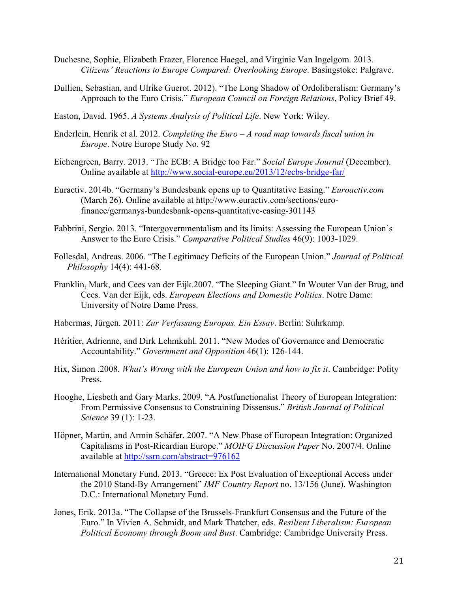- Duchesne, Sophie, Elizabeth Frazer, Florence Haegel, and Virginie Van Ingelgom. 2013. *Citizens' Reactions to Europe Compared: Overlooking Europe*. Basingstoke: Palgrave.
- Dullien, Sebastian, and Ulrike Guerot. 2012). "The Long Shadow of Ordoliberalism: Germany's Approach to the Euro Crisis." *European Council on Foreign Relations*, Policy Brief 49.
- Easton, David. 1965. *A Systems Analysis of Political Life*. New York: Wiley.
- Enderlein, Henrik et al. 2012. *Completing the Euro – A road map towards fiscal union in Europe*. Notre Europe Study No. 92
- Eichengreen, Barry. 2013. "The ECB: A Bridge too Far." *Social Europe Journal* (December). Online available at http://www.social-europe.eu/2013/12/ecbs-bridge-far/
- Euractiv. 2014b. "Germany's Bundesbank opens up to Quantitative Easing." *Euroactiv.com*  (March 26). Online available at http://www.euractiv.com/sections/eurofinance/germanys-bundesbank-opens-quantitative-easing-301143
- Fabbrini, Sergio. 2013. "Intergovernmentalism and its limits: Assessing the European Union's Answer to the Euro Crisis." *Comparative Political Studies* 46(9): 1003-1029.
- Follesdal, Andreas. 2006. "The Legitimacy Deficits of the European Union." *Journal of Political Philosophy* 14(4): 441-68.
- Franklin, Mark, and Cees van der Eijk.2007. "The Sleeping Giant." In Wouter Van der Brug, and Cees. Van der Eijk, eds. *European Elections and Domestic Politics*. Notre Dame: University of Notre Dame Press.
- Habermas, Jürgen. 2011: *Zur Verfassung Europas. Ein Essay*. Berlin: Suhrkamp.
- Héritier, Adrienne, and Dirk Lehmkuhl. 2011. "New Modes of Governance and Democratic Accountability." *Government and Opposition* 46(1): 126-144.
- Hix, Simon .2008. *What's Wrong with the European Union and how to fix it*. Cambridge: Polity Press.
- Hooghe, Liesbeth and Gary Marks. 2009. "A Postfunctionalist Theory of European Integration: From Permissive Consensus to Constraining Dissensus." *British Journal of Political Science* 39 (1): 1-23.
- Höpner, Martin, and Armin Schäfer. 2007. "A New Phase of European Integration: Organized Capitalisms in Post-Ricardian Europe." *MOIFG Discussion Paper* No. 2007/4. Online available at http://ssrn.com/abstract=976162
- International Monetary Fund. 2013. "Greece: Ex Post Evaluation of Exceptional Access under the 2010 Stand-By Arrangement" *IMF Country Report* no. 13/156 (June). Washington D.C.: International Monetary Fund.
- Jones, Erik. 2013a. "The Collapse of the Brussels-Frankfurt Consensus and the Future of the Euro." In Vivien A. Schmidt, and Mark Thatcher, eds. *Resilient Liberalism: European Political Economy through Boom and Bust*. Cambridge: Cambridge University Press.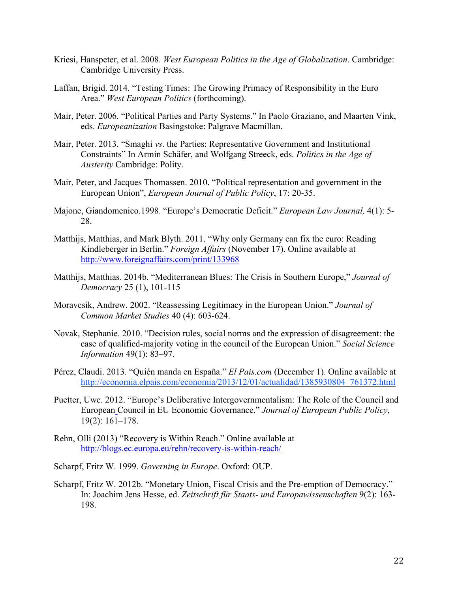- Kriesi, Hanspeter, et al. 2008. *West European Politics in the Age of Globalization*. Cambridge: Cambridge University Press.
- Laffan, Brigid. 2014. "Testing Times: The Growing Primacy of Responsibility in the Euro Area." *West European Politics* (forthcoming).
- Mair, Peter. 2006. "Political Parties and Party Systems." In Paolo Graziano, and Maarten Vink, eds. *Europeanization* Basingstoke: Palgrave Macmillan.
- Mair, Peter. 2013. "Smaghi *vs*. the Parties: Representative Government and Institutional Constraints" In Armin Schäfer, and Wolfgang Streeck, eds. *Politics in the Age of Austerity* Cambridge: Polity.
- Mair, Peter, and Jacques Thomassen. 2010. "Political representation and government in the European Union", *European Journal of Public Policy*, 17: 20-35.
- Majone, Giandomenico.1998. "Europe's Democratic Deficit." *European Law Journal,* 4(1): 5- 28.
- Matthijs, Matthias, and Mark Blyth. 2011. "Why only Germany can fix the euro: Reading Kindleberger in Berlin." *Foreign Affairs* (November 17). Online available at http://www.foreignaffairs.com/print/133968
- Matthijs, Matthias. 2014b. "Mediterranean Blues: The Crisis in Southern Europe," *Journal of Democracy* 25 (1), 101-115
- Moravcsik, Andrew. 2002. "Reassessing Legitimacy in the European Union." *Journal of Common Market Studies* 40 (4): 603-624.
- Novak, Stephanie. 2010. "Decision rules, social norms and the expression of disagreement: the case of qualified-majority voting in the council of the European Union." *Social Science Information* 49(1): 83–97.
- Pérez, Claudi. 2013. "Quién manda en España." *El Pais.com* (December 1). Online available at http://economia.elpais.com/economia/2013/12/01/actualidad/1385930804\_761372.html
- Puetter, Uwe. 2012. "Europe's Deliberative Intergovernmentalism: The Role of the Council and European Council in EU Economic Governance." *Journal of European Public Policy*, 19(2): 161–178.
- Rehn, Olli (2013) "Recovery is Within Reach." Online available at http://blogs.ec.europa.eu/rehn/recovery-is-within-reach/
- Scharpf, Fritz W. 1999. *Governing in Europe*. Oxford: OUP.
- Scharpf, Fritz W. 2012b. "Monetary Union, Fiscal Crisis and the Pre-emption of Democracy." In: Joachim Jens Hesse, ed. *Zeitschrift für Staats- und Europawissenschaften* 9(2): 163- 198.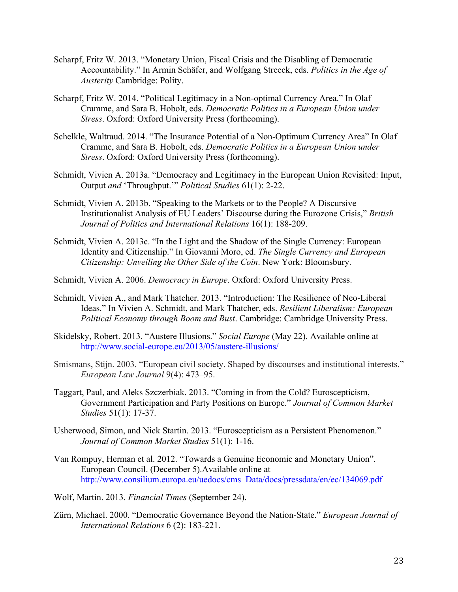- Scharpf, Fritz W. 2013. "Monetary Union, Fiscal Crisis and the Disabling of Democratic Accountability." In Armin Schäfer, and Wolfgang Streeck, eds. *Politics in the Age of Austerity* Cambridge: Polity.
- Scharpf, Fritz W. 2014. "Political Legitimacy in a Non-optimal Currency Area." In Olaf Cramme, and Sara B. Hobolt, eds. *Democratic Politics in a European Union under Stress*. Oxford: Oxford University Press (forthcoming).
- Schelkle, Waltraud. 2014. "The Insurance Potential of a Non-Optimum Currency Area" In Olaf Cramme, and Sara B. Hobolt, eds. *Democratic Politics in a European Union under Stress*. Oxford: Oxford University Press (forthcoming).
- Schmidt, Vivien A. 2013a. "Democracy and Legitimacy in the European Union Revisited: Input, Output *and* 'Throughput.'" *Political Studies* 61(1): 2-22.
- Schmidt, Vivien A. 2013b. "Speaking to the Markets or to the People? A Discursive Institutionalist Analysis of EU Leaders' Discourse during the Eurozone Crisis," *British Journal of Politics and International Relations* 16(1): 188-209.
- Schmidt, Vivien A. 2013c. "In the Light and the Shadow of the Single Currency: European Identity and Citizenship." In Giovanni Moro, ed. *The Single Currency and European Citizenship: Unveiling the Other Side of the Coin*. New York: Bloomsbury.
- Schmidt, Vivien A. 2006. *Democracy in Europe*. Oxford: Oxford University Press.
- Schmidt, Vivien A., and Mark Thatcher. 2013. "Introduction: The Resilience of Neo-Liberal Ideas." In Vivien A. Schmidt, and Mark Thatcher, eds. *Resilient Liberalism: European Political Economy through Boom and Bust*. Cambridge: Cambridge University Press.
- Skidelsky, Robert. 2013. "Austere Illusions." *Social Europe* (May 22). Available online at http://www.social-europe.eu/2013/05/austere-illusions/
- Smismans, Stijn. 2003. "European civil society. Shaped by discourses and institutional interests." *European Law Journal* 9(4): 473–95.
- Taggart, Paul, and Aleks Szczerbiak. 2013. "Coming in from the Cold? Euroscepticism, Government Participation and Party Positions on Europe." *Journal of Common Market Studies* 51(1): 17-37.
- Usherwood, Simon, and Nick Startin. 2013. "Euroscepticism as a Persistent Phenomenon." *Journal of Common Market Studies* 51(1): 1-16.
- Van Rompuy, Herman et al. 2012. "Towards a Genuine Economic and Monetary Union". European Council. (December 5).Available online at http://www.consilium.europa.eu/uedocs/cms\_Data/docs/pressdata/en/ec/134069.pdf
- Wolf, Martin. 2013. *Financial Times* (September 24).
- Zürn, Michael. 2000. "Democratic Governance Beyond the Nation-State." *European Journal of International Relations* 6 (2): 183-221.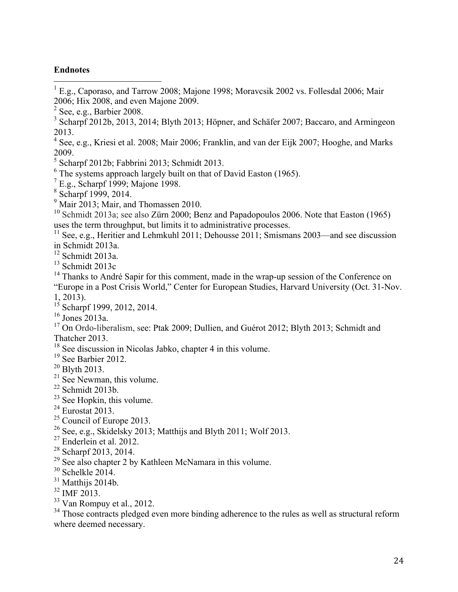# **Endnotes**

<sup>1</sup> E.g., Caporaso, and Tarrow 2008; Majone 1998; Moravcsik 2002 vs. Follesdal 2006; Mair 2006; Hix 2008, and even Majone 2009.

<sup>3</sup> Scharpf 2012b, 2013, 2014; Blyth 2013; Höpner, and Schäfer 2007; Baccaro, and Armingeon 2013.

<sup>4</sup> See, e.g., Kriesi et al. 2008; Mair 2006; Franklin, and van der Eijk 2007; Hooghe, and Marks 2009.

 $5$  Scharpf 2012b; Fabbrini 2013; Schmidt 2013.

<sup>6</sup> The systems approach largely built on that of David Easton (1965).

<sup>7</sup> E.g., Scharpf 1999; Majone 1998.

<sup>8</sup> Scharpf 1999, 2014.

 $\frac{9 \text{ Main of 1333, Z51}}{9 \text{ Main } 2013$ ; Mair, and Thomassen 2010.

<sup>10</sup> Schmidt 2013a; see also Zürn 2000; Benz and Papadopoulos 2006. Note that Easton (1965) uses the term throughput, but limits it to administrative processes.

<sup>11</sup> See, e.g., Heritier and Lehmkuhl 2011; Dehousse 2011; Smismans 2003—and see discussion in Schmidt 2013a.

 $12$  Schmidt 2013a.

 $13$  Schmidt 2013c

<sup>14</sup> Thanks to André Sapir for this comment, made in the wrap-up session of the Conference on "Europe in a Post Crisis World," Center for European Studies, Harvard University (Oct. 31-Nov. 1, 2013).

 $15$  Scharpf 1999, 2012, 2014.

<sup>16</sup> Jones 2013a.<br><sup>17</sup> On Ordo-liberalism, see: Ptak 2009; Dullien, and Guérot 2012; Blyth 2013; Schmidt and Thatcher 2013.

 $18$  See discussion in Nicolas Jabko, chapter 4 in this volume.

<sup>19</sup> See Barbier 2012.

<sup>20</sup> Blyth 2013.

- $21$  See Newman, this volume.
- $22$  Schmidt 2013b.
- <sup>23</sup> See Hopkin, this volume.
- $24$  Eurostat 2013.
- <sup>25</sup> Council of Europe 2013.
- $26$  See, e.g., Skidelsky 2013; Matthijs and Blyth 2011; Wolf 2013.

<sup>27</sup> Enderlein et al. 2012.

- $28$  Scharpf 2013, 2014.
- $29$  See also chapter 2 by Kathleen McNamara in this volume.
- <sup>30</sup> Schelkle 2014.
- $\frac{31}{32}$  Matthijs 2014b.<br> $\frac{32}{32}$  IMF 2013.
- 
- <sup>33</sup> Van Rompuy et al., 2012.

<sup>34</sup> Those contracts pledged even more binding adherence to the rules as well as structural reform where deemed necessary.

 $2$  See, e.g., Barbier 2008.